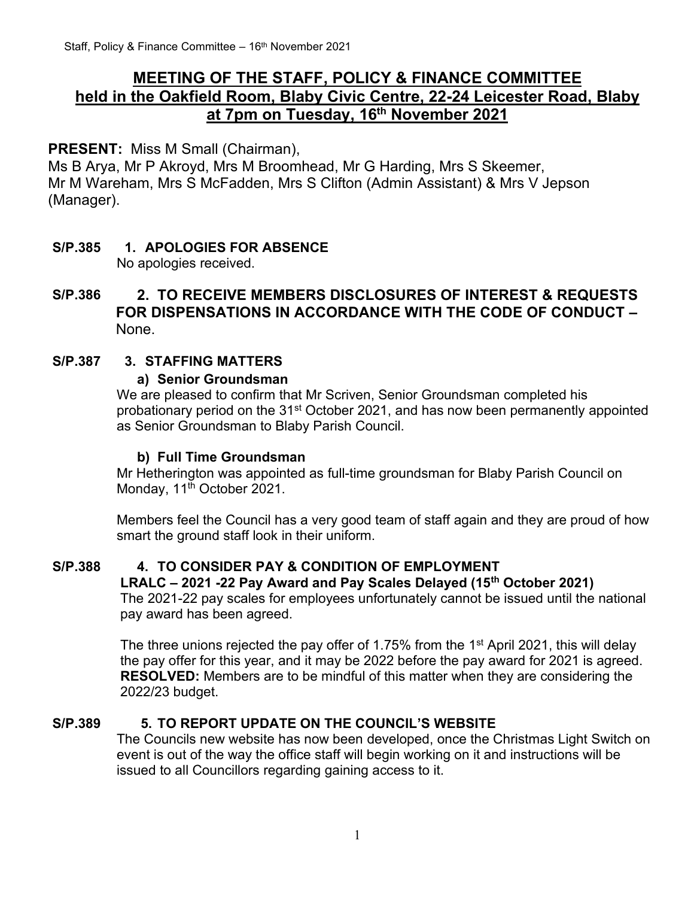## **MEETING OF THE STAFF, POLICY & FINANCE COMMITTEE held in the Oakfield Room, Blaby Civic Centre, 22-24 Leicester Road, Blaby at 7pm on Tuesday, 16 th November 2021**

## **PRESENT:** Miss M Small (Chairman),

Ms B Arya, Mr P Akroyd, Mrs M Broomhead, Mr G Harding, Mrs S Skeemer, Mr M Wareham, Mrs S McFadden, Mrs S Clifton (Admin Assistant) & Mrs V Jepson (Manager).

#### **S/P.385 1. APOLOGIES FOR ABSENCE** No apologies received.

## **S/P.386 2. TO RECEIVE MEMBERS DISCLOSURES OF INTEREST & REQUESTS FOR DISPENSATIONS IN ACCORDANCE WITH THE CODE OF CONDUCT –** None.

## **S/P.387 3. STAFFING MATTERS**

#### **a) Senior Groundsman**

We are pleased to confirm that Mr Scriven, Senior Groundsman completed his probationary period on the 31st October 2021, and has now been permanently appointed as Senior Groundsman to Blaby Parish Council.

## **b) Full Time Groundsman**

Mr Hetherington was appointed as full-time groundsman for Blaby Parish Council on Monday, 11<sup>th</sup> October 2021.

Members feel the Council has a very good team of staff again and they are proud of how smart the ground staff look in their uniform.

## **S/P.388 4. TO CONSIDER PAY & CONDITION OF EMPLOYMENT**

## **LRALC – 2021 -22 Pay Award and Pay Scales Delayed (15th October 2021)**

The 2021-22 pay scales for employees unfortunately cannot be issued until the national pay award has been agreed.

The three unions rejected the pay offer of 1.75% from the 1<sup>st</sup> April 2021, this will delay the pay offer for this year, and it may be 2022 before the pay award for 2021 is agreed. **RESOLVED:** Members are to be mindful of this matter when they are considering the 2022/23 budget.

## **S/P.389 5. TO REPORT UPDATE ON THE COUNCIL'S WEBSITE**

The Councils new website has now been developed, once the Christmas Light Switch on event is out of the way the office staff will begin working on it and instructions will be issued to all Councillors regarding gaining access to it.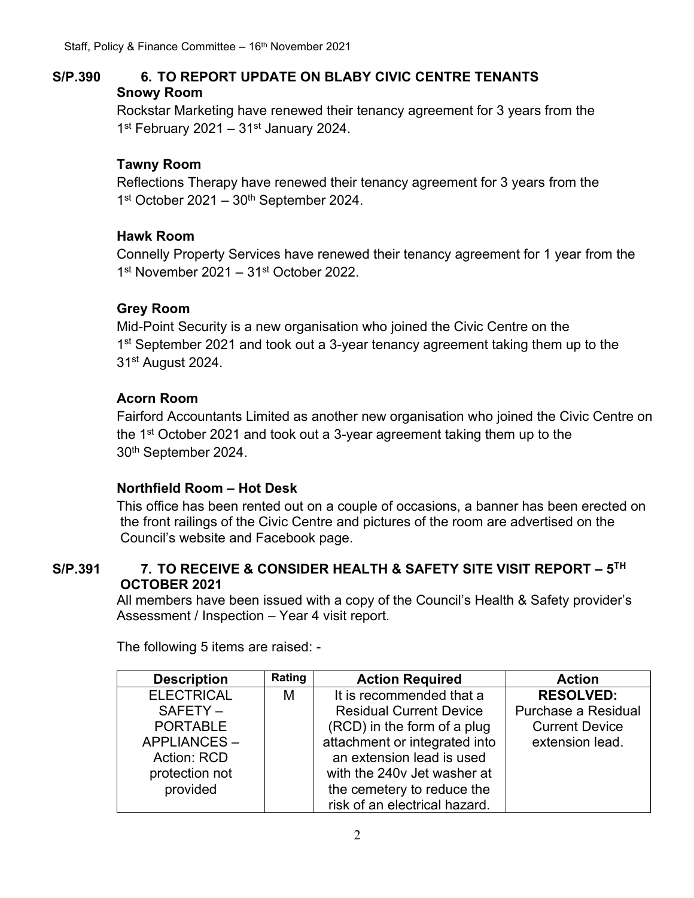## **S/P.390 6. TO REPORT UPDATE ON BLABY CIVIC CENTRE TENANTS Snowy Room**

Rockstar Marketing have renewed their tenancy agreement for 3 years from the 1<sup>st</sup> February 2021 – 31<sup>st</sup> January 2024.

#### **Tawny Room**

Reflections Therapy have renewed their tenancy agreement for 3 years from the 1<sup>st</sup> October 2021 - 30<sup>th</sup> September 2024.

#### **Hawk Room**

Connelly Property Services have renewed their tenancy agreement for 1 year from the 1<sup>st</sup> November 2021 - 31<sup>st</sup> October 2022.

#### **Grey Room**

Mid-Point Security is a new organisation who joined the Civic Centre on the 1<sup>st</sup> September 2021 and took out a 3-year tenancy agreement taking them up to the 31st August 2024.

#### **Acorn Room**

Fairford Accountants Limited as another new organisation who joined the Civic Centre on the 1st October 2021 and took out a 3-year agreement taking them up to the 30th September 2024.

## **Northfield Room – Hot Desk**

This office has been rented out on a couple of occasions, a banner has been erected on the front railings of the Civic Centre and pictures of the room are advertised on the Council's website and Facebook page.

#### **S/P.391 7. TO RECEIVE & CONSIDER HEALTH & SAFETY SITE VISIT REPORT – 5 TH OCTOBER 2021**

All members have been issued with a copy of the Council's Health & Safety provider's Assessment / Inspection – Year 4 visit report.

| <b>Description</b> | Rating | <b>Action Required</b>         | <b>Action</b>         |
|--------------------|--------|--------------------------------|-----------------------|
| <b>ELECTRICAL</b>  | М      | It is recommended that a       | <b>RESOLVED:</b>      |
| SAFETY-            |        | <b>Residual Current Device</b> | Purchase a Residual   |
| <b>PORTABLE</b>    |        | (RCD) in the form of a plug    | <b>Current Device</b> |
| APPLIANCES-        |        | attachment or integrated into  | extension lead.       |
| Action: RCD        |        | an extension lead is used      |                       |
| protection not     |        | with the 240v Jet washer at    |                       |
| provided           |        | the cemetery to reduce the     |                       |
|                    |        | risk of an electrical hazard.  |                       |

The following 5 items are raised: -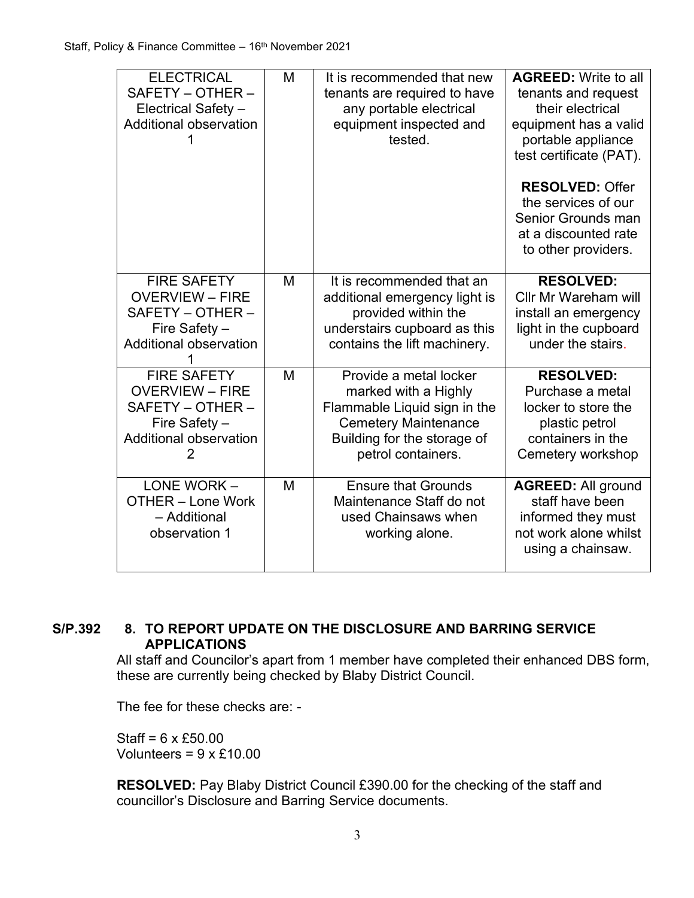| <b>ELECTRICAL</b><br>SAFETY - OTHER -<br>Electrical Safety -<br>Additional observation                                  | M | It is recommended that new<br>tenants are required to have<br>any portable electrical<br>equipment inspected and<br>tested.                                        | <b>AGREED:</b> Write to all<br>tenants and request<br>their electrical<br>equipment has a valid<br>portable appliance<br>test certificate (PAT). |
|-------------------------------------------------------------------------------------------------------------------------|---|--------------------------------------------------------------------------------------------------------------------------------------------------------------------|--------------------------------------------------------------------------------------------------------------------------------------------------|
|                                                                                                                         |   |                                                                                                                                                                    | <b>RESOLVED: Offer</b><br>the services of our<br>Senior Grounds man<br>at a discounted rate<br>to other providers.                               |
| <b>FIRE SAFETY</b><br><b>OVERVIEW - FIRE</b><br>SAFETY - OTHER -<br>Fire Safety -<br>Additional observation             | M | It is recommended that an<br>additional emergency light is<br>provided within the<br>understairs cupboard as this<br>contains the lift machinery.                  | <b>RESOLVED:</b><br><b>Cllr Mr Wareham will</b><br>install an emergency<br>light in the cupboard<br>under the stairs.                            |
| <b>FIRE SAFETY</b><br><b>OVERVIEW - FIRE</b><br>SAFETY - OTHER -<br>Fire Safety -<br><b>Additional observation</b><br>2 | M | Provide a metal locker<br>marked with a Highly<br>Flammable Liquid sign in the<br><b>Cemetery Maintenance</b><br>Building for the storage of<br>petrol containers. | <b>RESOLVED:</b><br>Purchase a metal<br>locker to store the<br>plastic petrol<br>containers in the<br>Cemetery workshop                          |
| LONE WORK -<br><b>OTHER - Lone Work</b><br>- Additional<br>observation 1                                                | M | <b>Ensure that Grounds</b><br>Maintenance Staff do not<br>used Chainsaws when<br>working alone.                                                                    | <b>AGREED: All ground</b><br>staff have been<br>informed they must<br>not work alone whilst<br>using a chainsaw.                                 |

#### **S/P.392 8. TO REPORT UPDATE ON THE DISCLOSURE AND BARRING SERVICE APPLICATIONS**

All staff and Councilor's apart from 1 member have completed their enhanced DBS form, these are currently being checked by Blaby District Council.

The fee for these checks are: -

Staff = 6 x £50.00 Volunteers =  $9 \times £10.00$ 

**RESOLVED:** Pay Blaby District Council £390.00 for the checking of the staff and councillor's Disclosure and Barring Service documents.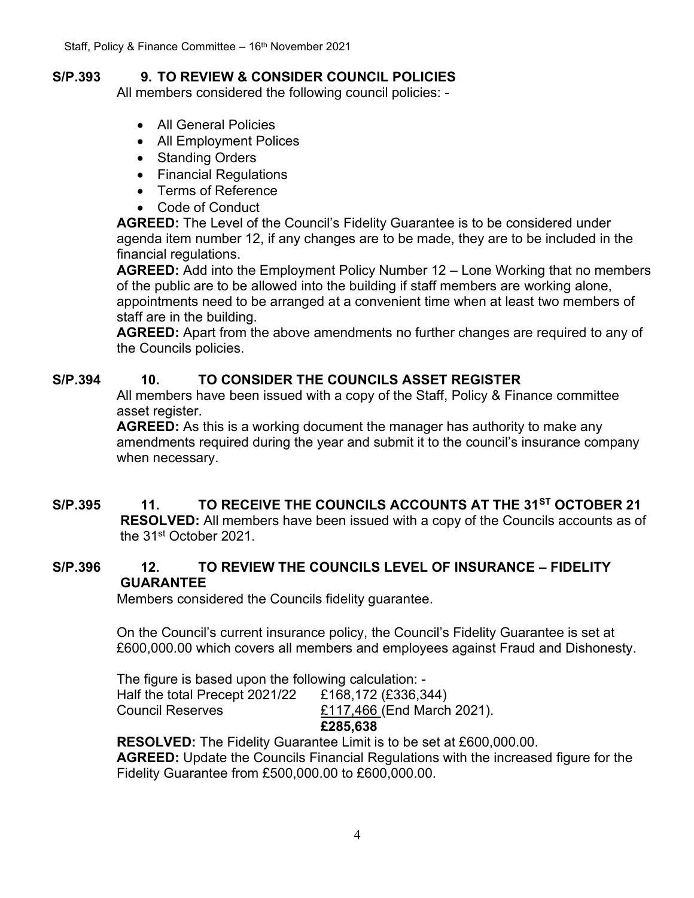## **S/P.393 9. TO REVIEW & CONSIDER COUNCIL POLICIES**

All members considered the following council policies: -

- All General Policies
- All Employment Polices
- Standing Orders
- Financial Regulations
- Terms of Reference
- Code of Conduct

**AGREED:** The Level of the Council's Fidelity Guarantee is to be considered under agenda item number 12, if any changes are to be made, they are to be included in the financial regulations.

**AGREED:** Add into the Employment Policy Number 12 – Lone Working that no members of the public are to be allowed into the building if staff members are working alone, appointments need to be arranged at a convenient time when at least two members of staff are in the building.

**AGREED:** Apart from the above amendments no further changes are required to any of the Councils policies.

#### **S/P.394 10. TO CONSIDER THE COUNCILS ASSET REGISTER**

All members have been issued with a copy of the Staff, Policy & Finance committee asset register.

**AGREED:** As this is a working document the manager has authority to make any amendments required during the year and submit it to the council's insurance company when necessary.

## **S/P.395 11. TO RECEIVE THE COUNCILS ACCOUNTS AT THE 31ST OCTOBER 21**

**RESOLVED:** All members have been issued with a copy of the Councils accounts as of the 31st October 2021.

#### **S/P.396 12. TO REVIEW THE COUNCILS LEVEL OF INSURANCE – FIDELITY GUARANTEE**

Members considered the Councils fidelity guarantee.

On the Council's current insurance policy, the Council's Fidelity Guarantee is set at £600,000.00 which covers all members and employees against Fraud and Dishonesty.

The figure is based upon the following calculation: - Half the total Precept 2021/22 £168,172 (£336,344) Council Reserves £117,466 (End March 2021).

**£285,638**

**RESOLVED:** The Fidelity Guarantee Limit is to be set at £600,000.00. **AGREED:** Update the Councils Financial Regulations with the increased figure for the Fidelity Guarantee from £500,000.00 to £600,000.00.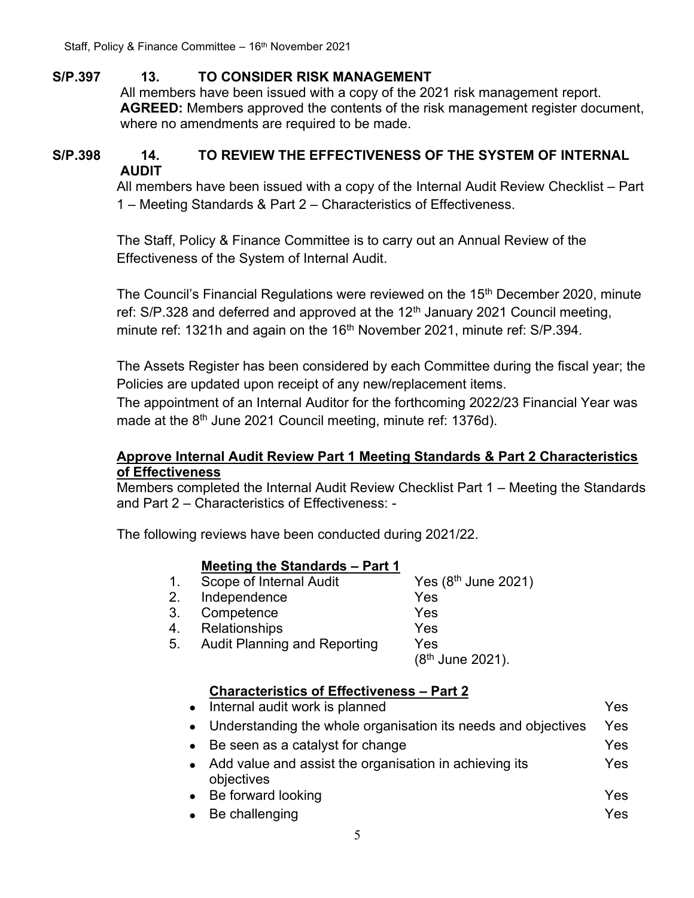## **S/P.397 13. TO CONSIDER RISK MANAGEMENT**

All members have been issued with a copy of the 2021 risk management report. **AGREED:** Members approved the contents of the risk management register document, where no amendments are required to be made.

## **S/P.398 14. TO REVIEW THE EFFECTIVENESS OF THE SYSTEM OF INTERNAL AUDIT**

All members have been issued with a copy of the Internal Audit Review Checklist – Part 1 – Meeting Standards & Part 2 – Characteristics of Effectiveness.

The Staff, Policy & Finance Committee is to carry out an Annual Review of the Effectiveness of the System of Internal Audit.

The Council's Financial Regulations were reviewed on the 15<sup>th</sup> December 2020, minute ref:  $S/P.328$  and deferred and approved at the 12<sup>th</sup> January 2021 Council meeting, minute ref: 1321h and again on the 16<sup>th</sup> November 2021, minute ref: S/P.394.

The Assets Register has been considered by each Committee during the fiscal year; the Policies are updated upon receipt of any new/replacement items.

The appointment of an Internal Auditor for the forthcoming 2022/23 Financial Year was made at the  $8<sup>th</sup>$  June 2021 Council meeting, minute ref: 1376d).

## **Approve Internal Audit Review Part 1 Meeting Standards & Part 2 Characteristics of Effectiveness**

Members completed the Internal Audit Review Checklist Part 1 – Meeting the Standards and Part 2 – Characteristics of Effectiveness: -

The following reviews have been conducted during 2021/22.

|  |  |  | Meeting the Standards - Part 1 |  |
|--|--|--|--------------------------------|--|
|--|--|--|--------------------------------|--|

| Scope of Internal Audit | Yes $(8th$ June 2021)            |
|-------------------------|----------------------------------|
| 0 Indonesianoo          | $\mathsf{V}\mathsf{A}\mathsf{A}$ |

- 2. Independence Yes
- 3. Competence Yes
- 4. Relationships Yes
- 5. Audit Planning and Reporting Yes

 $(8<sup>th</sup>$  June 2021).

# **Characteristics of Effectiveness – Part 2**

| Internal audit work is planned<br>$\bullet$                          | Yes |
|----------------------------------------------------------------------|-----|
| Understanding the whole organisation its needs and objectives        | Yes |
| Be seen as a catalyst for change                                     | Yes |
| Add value and assist the organisation in achieving its<br>objectives | Yes |
| • Be forward looking                                                 | Yes |
| Be challenging                                                       | Yes |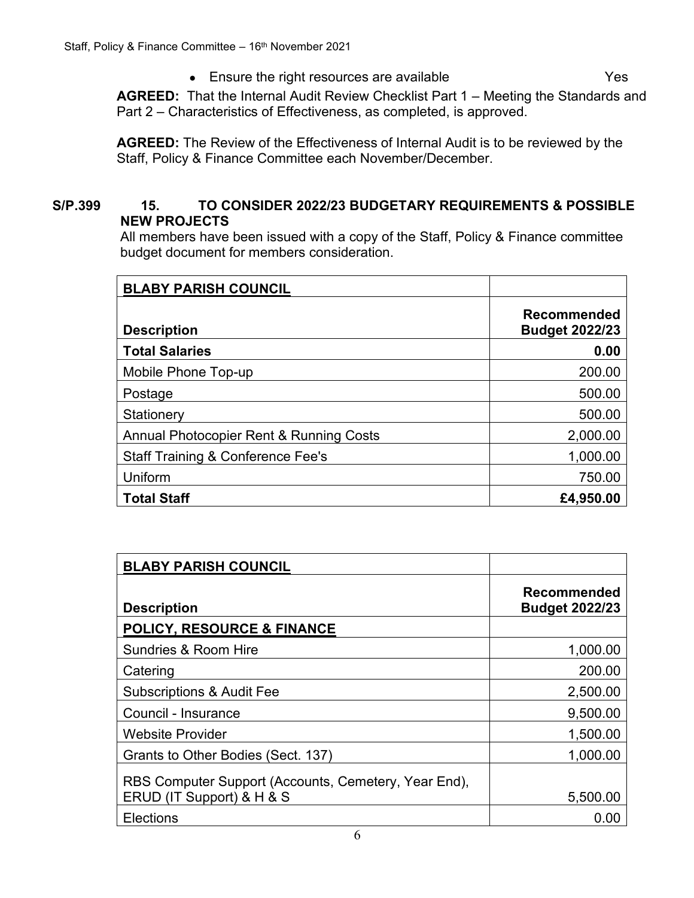• Ensure the right resources are available **Fig. 1.1 State 1.1 State 1.1 State 1.1 State 1.1 State 1.1 State 1.1 State 1.1 State 1.1 State 1.1 State 1.1 State 1.1 State 1.1 State 1.1 State 1.1 State 1.1 State 1.1 State 1.1** 

**AGREED:** That the Internal Audit Review Checklist Part 1 – Meeting the Standards and Part 2 – Characteristics of Effectiveness, as completed, is approved.

**AGREED:** The Review of the Effectiveness of Internal Audit is to be reviewed by the Staff, Policy & Finance Committee each November/December.

## **S/P.399 15. TO CONSIDER 2022/23 BUDGETARY REQUIREMENTS & POSSIBLE NEW PROJECTS**

All members have been issued with a copy of the Staff, Policy & Finance committee budget document for members consideration.

| <b>BLABY PARISH COUNCIL</b>                  |                                      |
|----------------------------------------------|--------------------------------------|
| <b>Description</b>                           | Recommended<br><b>Budget 2022/23</b> |
| <b>Total Salaries</b>                        | 0.00                                 |
| Mobile Phone Top-up                          | 200.00                               |
| Postage                                      | 500.00                               |
| Stationery                                   | 500.00                               |
| Annual Photocopier Rent & Running Costs      | 2,000.00                             |
| <b>Staff Training &amp; Conference Fee's</b> | 1,000.00                             |
| Uniform                                      | 750.00                               |
| <b>Total Staff</b>                           | £4,950.00                            |

| <b>BLABY PARISH COUNCIL</b>                                                       |                                             |
|-----------------------------------------------------------------------------------|---------------------------------------------|
| <b>Description</b>                                                                | <b>Recommended</b><br><b>Budget 2022/23</b> |
| <b>POLICY, RESOURCE &amp; FINANCE</b>                                             |                                             |
| Sundries & Room Hire                                                              | 1,000.00                                    |
| Catering                                                                          | 200.00                                      |
| <b>Subscriptions &amp; Audit Fee</b>                                              | 2,500.00                                    |
| Council - Insurance                                                               | 9,500.00                                    |
| <b>Website Provider</b>                                                           | 1,500.00                                    |
| Grants to Other Bodies (Sect. 137)                                                | 1,000.00                                    |
| RBS Computer Support (Accounts, Cemetery, Year End),<br>ERUD (IT Support) & H & S | 5,500.00                                    |
| <b>Elections</b>                                                                  | (1)(1)                                      |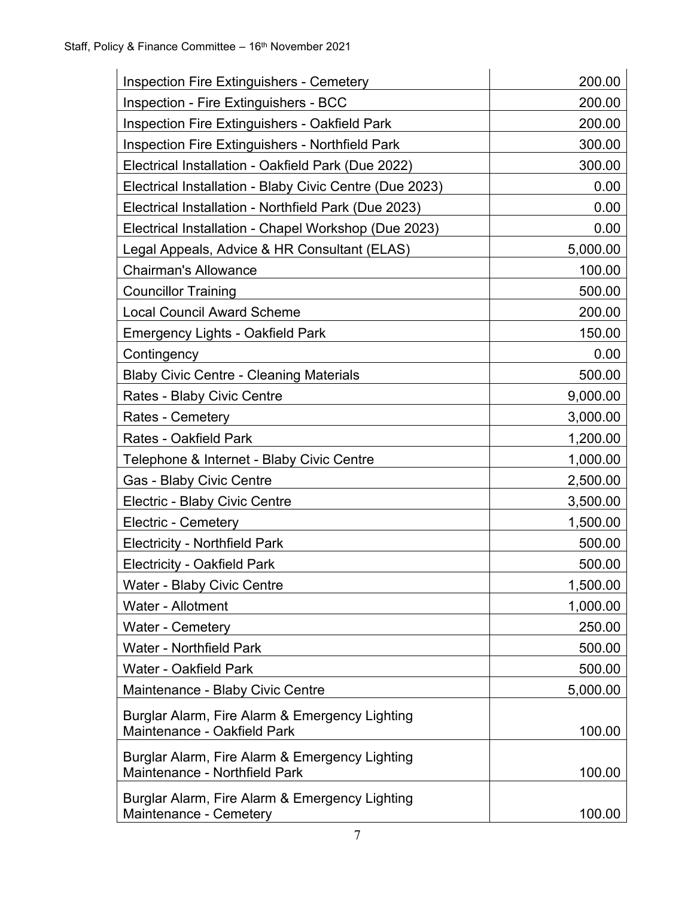| <b>Inspection Fire Extinguishers - Cemetery</b>                                 | 200.00   |
|---------------------------------------------------------------------------------|----------|
| <b>Inspection - Fire Extinguishers - BCC</b>                                    | 200.00   |
| Inspection Fire Extinguishers - Oakfield Park                                   | 200.00   |
| <b>Inspection Fire Extinguishers - Northfield Park</b>                          | 300.00   |
| Electrical Installation - Oakfield Park (Due 2022)                              | 300.00   |
| Electrical Installation - Blaby Civic Centre (Due 2023)                         | 0.00     |
| Electrical Installation - Northfield Park (Due 2023)                            | 0.00     |
| Electrical Installation - Chapel Workshop (Due 2023)                            | 0.00     |
| Legal Appeals, Advice & HR Consultant (ELAS)                                    | 5,000.00 |
| <b>Chairman's Allowance</b>                                                     | 100.00   |
| <b>Councillor Training</b>                                                      | 500.00   |
| <b>Local Council Award Scheme</b>                                               | 200.00   |
| <b>Emergency Lights - Oakfield Park</b>                                         | 150.00   |
| Contingency                                                                     | 0.00     |
| <b>Blaby Civic Centre - Cleaning Materials</b>                                  | 500.00   |
| Rates - Blaby Civic Centre                                                      | 9,000.00 |
| <b>Rates - Cemetery</b>                                                         | 3,000.00 |
| <b>Rates - Oakfield Park</b>                                                    | 1,200.00 |
| Telephone & Internet - Blaby Civic Centre                                       | 1,000.00 |
| Gas - Blaby Civic Centre                                                        | 2,500.00 |
| Electric - Blaby Civic Centre                                                   | 3,500.00 |
| <b>Electric - Cemetery</b>                                                      | 1,500.00 |
| <b>Electricity - Northfield Park</b>                                            | 500.00   |
| <b>Electricity - Oakfield Park</b>                                              | 500.00   |
| <b>Water - Blaby Civic Centre</b>                                               | 1,500.00 |
| Water - Allotment                                                               | 1,000.00 |
| <b>Water - Cemetery</b>                                                         | 250.00   |
| <b>Water - Northfield Park</b>                                                  | 500.00   |
| <b>Water - Oakfield Park</b>                                                    | 500.00   |
| Maintenance - Blaby Civic Centre                                                | 5,000.00 |
| Burglar Alarm, Fire Alarm & Emergency Lighting<br>Maintenance - Oakfield Park   | 100.00   |
| Burglar Alarm, Fire Alarm & Emergency Lighting<br>Maintenance - Northfield Park | 100.00   |
| Burglar Alarm, Fire Alarm & Emergency Lighting<br>Maintenance - Cemetery        | 100.00   |